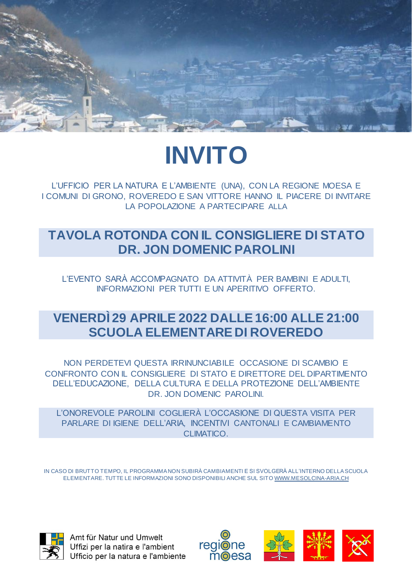

# **INVITO**

L'UFFICIO PER LA NATURA E L'AMBIENTE (UNA), CON LA REGIONE MOESA E I COMUNI DI GRONO, ROVEREDO E SAN VITTORE HANNO IL PIACERE DI INVITARE LA POPOLAZIONE A PARTECIPARE ALLA

### **TAVOLA ROTONDA CON IL CONSIGLIERE DI STATO DR. JON DOMENIC PAROLINI**

L'EVENTO SARÀ ACCOMPAGNATO DA ATTIVITÀ PER BAMBINI E ADULTI, INFORMAZIONI PER TUTTI E UN APERITIVO OFFERTO.

## **VENERDÌ 29 APRILE 2022 DALLE 16:00 ALLE 21:00 SCUOLA ELEMENTARE DI ROVEREDO**

NON PERDETEVI QUESTA IRRINUNCIABILE OCCASIONE DI SCAMBIO E CONFRONTO CON IL CONSIGLIERE DI STATO E DIRETTORE DEL DIPARTIMENTO DELL'EDUCAZIONE, DELLA CULTURA E DELLA PROTEZIONE DELL'AMBIENTE DR. JON DOMENIC PAROLINI.

L'ONOREVOLE PAROLINI COGLIERÀ L'OCCASIONE DI QUESTA VISITA PER PARLARE DI IGIENE DELL'ARIA, INCENTIVI CANTONALI E CAMBIAMENTO CLIMATICO.

IN CASO DI BRUTTO TEMPO, IL PROGRAMMA NON SUBIRÀ CAMBIAMENTI E SI SVOLGERÀ ALL'INTERNO DELLA SCUOLA ELEMENTARE. TUTTE LE INFORMAZIONI SONO DISPONIBILI ANCHE SUL SIT[O WWW.MESOLCINA-ARIA.CH](http://www.mesolcina-aria.ch/)



Amt für Natur und Umwelt Uffizi per la natira e l'ambient Ufficio per la natura e l'ambiente